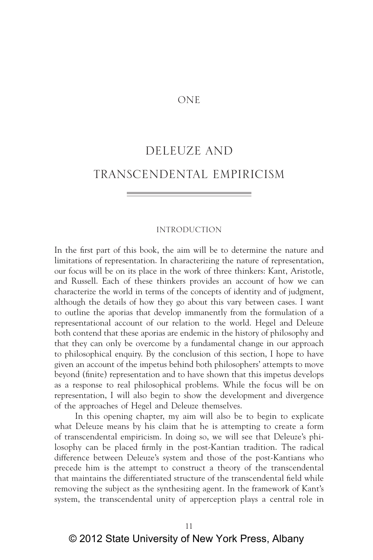## ONE

# Deleuze and Transcendental Empiricism

#### Introduction

In the first part of this book, the aim will be to determine the nature and limitations of representation. In characterizing the nature of representation, our focus will be on its place in the work of three thinkers: Kant, Aristotle, and Russell. Each of these thinkers provides an account of how we can characterize the world in terms of the concepts of identity and of judgment, although the details of how they go about this vary between cases. I want to outline the aporias that develop immanently from the formulation of a representational account of our relation to the world. Hegel and Deleuze both contend that these aporias are endemic in the history of philosophy and that they can only be overcome by a fundamental change in our approach to philosophical enquiry. By the conclusion of this section, I hope to have given an account of the impetus behind both philosophers' attempts to move beyond (finite) representation and to have shown that this impetus develops as a response to real philosophical problems. While the focus will be on representation, I will also begin to show the development and divergence of the approaches of Hegel and Deleuze themselves.

In this opening chapter, my aim will also be to begin to explicate what Deleuze means by his claim that he is attempting to create a form of transcendental empiricism. In doing so, we will see that Deleuze's philosophy can be placed firmly in the post-Kantian tradition. The radical difference between Deleuze's system and those of the post-Kantians who precede him is the attempt to construct a theory of the transcendental that maintains the differentiated structure of the transcendental field while removing the subject as the synthesizing agent. In the framework of Kant's system, the transcendental unity of apperception plays a central role in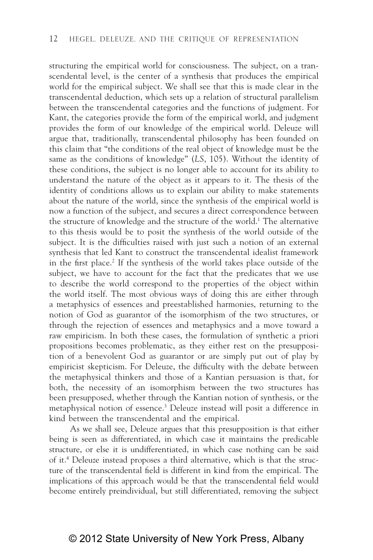structuring the empirical world for consciousness. The subject, on a transcendental level, is the center of a synthesis that produces the empirical world for the empirical subject. We shall see that this is made clear in the transcendental deduction, which sets up a relation of structural parallelism between the transcendental categories and the functions of judgment. For Kant, the categories provide the form of the empirical world, and judgment provides the form of our knowledge of the empirical world. Deleuze will argue that, traditionally, transcendental philosophy has been founded on this claim that "the conditions of the real object of knowledge must be the same as the conditions of knowledge" (*LS*, 105). Without the identity of these conditions, the subject is no longer able to account for its ability to understand the nature of the object as it appears to it. The thesis of the identity of conditions allows us to explain our ability to make statements about the nature of the world, since the synthesis of the empirical world is now a function of the subject, and secures a direct correspondence between the structure of knowledge and the structure of the world.<sup>1</sup> The alternative to this thesis would be to posit the synthesis of the world outside of the subject. It is the difficulties raised with just such a notion of an external synthesis that led Kant to construct the transcendental idealist framework in the first place.2 If the synthesis of the world takes place outside of the subject, we have to account for the fact that the predicates that we use to describe the world correspond to the properties of the object within the world itself. The most obvious ways of doing this are either through a metaphysics of essences and preestablished harmonies, returning to the notion of God as guarantor of the isomorphism of the two structures, or through the rejection of essences and metaphysics and a move toward a raw empiricism. In both these cases, the formulation of synthetic a priori propositions becomes problematic, as they either rest on the presupposition of a benevolent God as guarantor or are simply put out of play by empiricist skepticism. For Deleuze, the difficulty with the debate between the metaphysical thinkers and those of a Kantian persuasion is that, for both, the necessity of an isomorphism between the two structures has been presupposed, whether through the Kantian notion of synthesis, or the metaphysical notion of essence.3 Deleuze instead will posit a difference in kind between the transcendental and the empirical.

As we shall see, Deleuze argues that this presupposition is that either being is seen as differentiated, in which case it maintains the predicable structure, or else it is undifferentiated, in which case nothing can be said of it.4 Deleuze instead proposes a third alternative, which is that the structure of the transcendental field is different in kind from the empirical. The implications of this approach would be that the transcendental field would become entirely preindividual, but still differentiated, removing the subject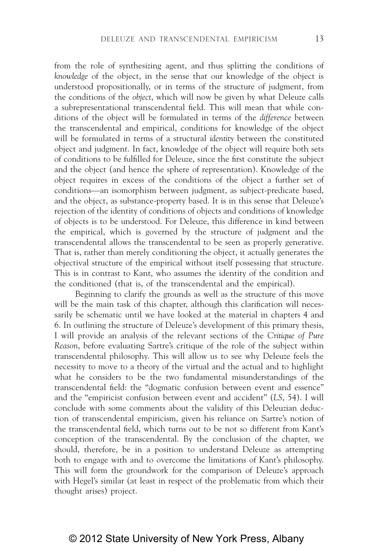from the role of synthesizing agent, and thus splitting the conditions of *knowledge* of the object, in the sense that our knowledge of the object is understood propositionally, or in terms of the structure of judgment, from the conditions of the *object*, which will now be given by what Deleuze calls a subrepresentational transcendental field. This will mean that while conditions of the object will be formulated in terms of the *difference* between the transcendental and empirical, conditions for knowledge of the object will be formulated in terms of a structural *identity* between the constituted object and judgment. In fact, knowledge of the object will require both sets of conditions to be fulfilled for Deleuze, since the first constitute the subject and the object (and hence the sphere of representation). Knowledge of the object requires in excess of the conditions of the object a further set of conditions—an isomorphism between judgment, as subject-predicate based, and the object, as substance-property based. It is in this sense that Deleuze's rejection of the identity of conditions of objects and conditions of knowledge of objects is to be understood. For Deleuze, this difference in kind between the empirical, which is governed by the structure of judgment and the transcendental allows the transcendental to be seen as properly generative. That is, rather than merely conditioning the object, it actually generates the objectival structure of the empirical without itself possessing that structure. This is in contrast to Kant, who assumes the identity of the condition and the conditioned (that is, of the transcendental and the empirical).

Beginning to clarify the grounds as well as the structure of this move will be the main task of this chapter, although this clarification will necessarily be schematic until we have looked at the material in chapters 4 and 6. In outlining the structure of Deleuze's development of this primary thesis, I will provide an analysis of the relevant sections of the *Critique of Pure Reason*, before evaluating Sartre's critique of the role of the subject within transcendental philosophy. This will allow us to see why Deleuze feels the necessity to move to a theory of the virtual and the actual and to highlight what he considers to be the two fundamental misunderstandings of the transcendental field: the "dogmatic confusion between event and essence" and the "empiricist confusion between event and accident" (*LS*, 54). I will conclude with some comments about the validity of this Deleuzian deduction of transcendental empiricism, given his reliance on Sartre's notion of the transcendental field, which turns out to be not so different from Kant's conception of the transcendental. By the conclusion of the chapter, we should, therefore, be in a position to understand Deleuze as attempting both to engage with and to overcome the limitations of Kant's philosophy. This will form the groundwork for the comparison of Deleuze's approach with Hegel's similar (at least in respect of the problematic from which their thought arises) project.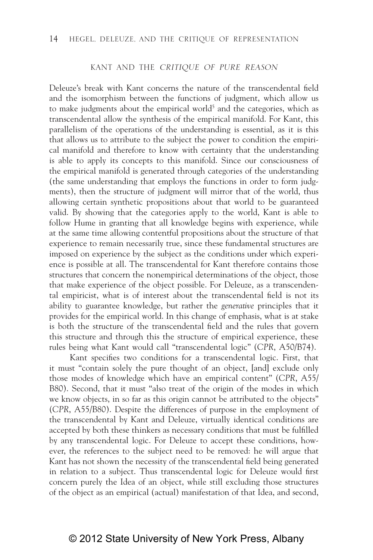### KANT AND THE CRITIQUE OF PURE REASON

Deleuze's break with Kant concerns the nature of the transcendental field and the isomorphism between the functions of judgment, which allow us to make judgments about the empirical world<sup>5</sup> and the categories, which as transcendental allow the synthesis of the empirical manifold. For Kant, this parallelism of the operations of the understanding is essential, as it is this that allows us to attribute to the subject the power to condition the empirical manifold and therefore to know with certainty that the understanding is able to apply its concepts to this manifold. Since our consciousness of the empirical manifold is generated through categories of the understanding (the same understanding that employs the functions in order to form judgments), then the structure of judgment will mirror that of the world, thus allowing certain synthetic propositions about that world to be guaranteed valid. By showing that the categories apply to the world, Kant is able to follow Hume in granting that all knowledge begins with experience, while at the same time allowing contentful propositions about the structure of that experience to remain necessarily true, since these fundamental structures are imposed on experience by the subject as the conditions under which experience is possible at all. The transcendental for Kant therefore contains those structures that concern the nonempirical determinations of the object, those that make experience of the object possible. For Deleuze, as a transcendental empiricist, what is of interest about the transcendental field is not its ability to guarantee knowledge, but rather the *generative* principles that it provides for the empirical world. In this change of emphasis, what is at stake is both the structure of the transcendental field and the rules that govern this structure and through this the structure of empirical experience, these rules being what Kant would call "transcendental logic" (*CPR*, A50/B74).

Kant specifies two conditions for a transcendental logic. First, that it must "contain solely the pure thought of an object, [and] exclude only those modes of knowledge which have an empirical content" (*CPR*, A55/ B80). Second, that it must "also treat of the origin of the modes in which we know objects, in so far as this origin cannot be attributed to the objects" (*CPR*, A55/B80). Despite the differences of purpose in the employment of the transcendental by Kant and Deleuze, virtually identical conditions are accepted by both these thinkers as necessary conditions that must be fulfilled by any transcendental logic. For Deleuze to accept these conditions, however, the references to the subject need to be removed: he will argue that Kant has not shown the necessity of the transcendental field being generated in relation to a subject. Thus transcendental logic for Deleuze would first concern purely the Idea of an object, while still excluding those structures of the object as an empirical (actual) manifestation of that Idea, and second,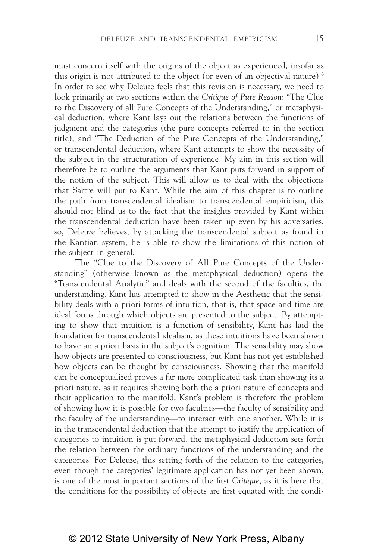must concern itself with the origins of the object as experienced, insofar as this origin is not attributed to the object (or even of an objectival nature).<sup>6</sup> In order to see why Deleuze feels that this revision is necessary, we need to look primarily at two sections within the *Critique of Pure Reason*: "The Clue to the Discovery of all Pure Concepts of the Understanding," or metaphysical deduction, where Kant lays out the relations between the functions of judgment and the categories (the pure concepts referred to in the section title), and "The Deduction of the Pure Concepts of the Understanding," or transcendental deduction, where Kant attempts to show the necessity of the subject in the structuration of experience. My aim in this section will therefore be to outline the arguments that Kant puts forward in support of the notion of the subject. This will allow us to deal with the objections that Sartre will put to Kant. While the aim of this chapter is to outline the path from transcendental idealism to transcendental empiricism, this should not blind us to the fact that the insights provided by Kant within the transcendental deduction have been taken up even by his adversaries, so, Deleuze believes, by attacking the transcendental subject as found in the Kantian system, he is able to show the limitations of this notion of the subject in general.

The "Clue to the Discovery of All Pure Concepts of the Understanding" (otherwise known as the metaphysical deduction) opens the "Transcendental Analytic" and deals with the second of the faculties, the understanding. Kant has attempted to show in the Aesthetic that the sensibility deals with a priori forms of intuition, that is, that space and time are ideal forms through which objects are presented to the subject. By attempting to show that intuition is a function of sensibility, Kant has laid the foundation for transcendental idealism, as these intuitions have been shown to have an a priori basis in the subject's cognition. The sensibility may show how objects are presented to consciousness, but Kant has not yet established how objects can be thought by consciousness. Showing that the manifold can be conceptualized proves a far more complicated task than showing its a priori nature, as it requires showing both the a priori nature of concepts and their application to the manifold. Kant's problem is therefore the problem of showing how it is possible for two faculties—the faculty of sensibility and the faculty of the understanding—to interact with one another. While it is in the transcendental deduction that the attempt to justify the application of categories to intuition is put forward, the metaphysical deduction sets forth the relation between the ordinary functions of the understanding and the categories. For Deleuze, this setting forth of the relation to the categories, even though the categories' legitimate application has not yet been shown, is one of the most important sections of the first *Critique*, as it is here that the conditions for the possibility of objects are first equated with the condi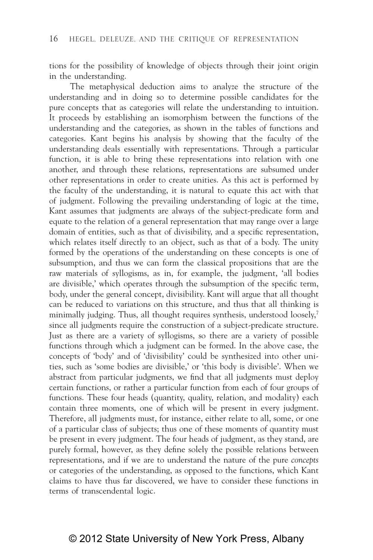tions for the possibility of knowledge of objects through their joint origin in the understanding.

The metaphysical deduction aims to analyze the structure of the understanding and in doing so to determine possible candidates for the pure concepts that as categories will relate the understanding to intuition. It proceeds by establishing an isomorphism between the functions of the understanding and the categories, as shown in the tables of functions and categories. Kant begins his analysis by showing that the faculty of the understanding deals essentially with representations. Through a particular function, it is able to bring these representations into relation with one another, and through these relations, representations are subsumed under other representations in order to create unities. As this act is performed by the faculty of the understanding, it is natural to equate this act with that of judgment. Following the prevailing understanding of logic at the time, Kant assumes that judgments are always of the subject-predicate form and equate to the relation of a general representation that may range over a large domain of entities, such as that of divisibility, and a specific representation, which relates itself directly to an object, such as that of a body. The unity formed by the operations of the understanding on these concepts is one of subsumption, and thus we can form the classical propositions that are the raw materials of syllogisms, as in, for example, the judgment, 'all bodies are divisible,' which operates through the subsumption of the specific term, body, under the general concept, divisibility. Kant will argue that all thought can be reduced to variations on this structure, and thus that all thinking is minimally judging. Thus, all thought requires synthesis, understood loosely,<sup>7</sup> since all judgments require the construction of a subject-predicate structure. Just as there are a variety of syllogisms, so there are a variety of possible functions through which a judgment can be formed. In the above case, the concepts of 'body' and of 'divisibility' could be synthesized into other unities, such as 'some bodies are divisible,' or 'this body is divisible'. When we abstract from particular judgments, we find that all judgments must deploy certain functions, or rather a particular function from each of four groups of functions. These four heads (quantity, quality, relation, and modality) each contain three moments, one of which will be present in every judgment. Therefore, all judgments must, for instance, either relate to all, some, or one of a particular class of subjects; thus one of these moments of quantity must be present in every judgment. The four heads of judgment, as they stand, are purely formal, however, as they define solely the possible relations between representations, and if we are to understand the nature of the pure *concepts* or categories of the understanding, as opposed to the functions, which Kant claims to have thus far discovered, we have to consider these functions in terms of transcendental logic.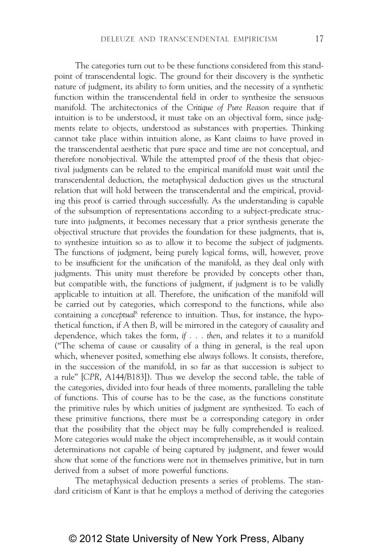The categories turn out to be these functions considered from this standpoint of transcendental logic. The ground for their discovery is the synthetic nature of judgment, its ability to form unities, and the necessity of a synthetic function within the transcendental field in order to synthesize the sensuous manifold. The architectonics of the *Critique of Pure Reason* require that if intuition is to be understood, it must take on an objectival form, since judgments relate to objects, understood as substances with properties. Thinking cannot take place within intuition alone, as Kant claims to have proved in the transcendental aesthetic that pure space and time are not conceptual, and therefore nonobjectival. While the attempted proof of the thesis that objectival judgments can be related to the empirical manifold must wait until the transcendental deduction, the metaphysical deduction gives us the structural relation that will hold between the transcendental and the empirical, providing this proof is carried through successfully. As the understanding is capable of the subsumption of representations according to a subject-predicate structure into judgments, it becomes necessary that a prior synthesis generate the objectival structure that provides the foundation for these judgments, that is, to synthesize intuition so as to allow it to become the subject of judgments. The functions of judgment, being purely logical forms, will, however, prove to be insufficient for the unification of the manifold, as they deal only with judgments. This unity must therefore be provided by concepts other than, but compatible with, the functions of judgment, if judgment is to be validly applicable to intuition at all. Therefore, the unification of the manifold will be carried out by categories, which correspond to the functions, while also containing a *conceptual*<sup>8</sup> reference to intuition. Thus, for instance, the hypothetical function, if *A* then *B*, will be mirrored in the category of causality and dependence, which takes the form, *if . . . then*, and relates it to a manifold ("The schema of cause or causality of a thing in general, is the real upon which, whenever posited, something else always follows. It consists, therefore, in the succession of the manifold, in so far as that succession is subject to a rule" [*CPR*, A144/B183]). Thus we develop the second table, the table of the categories, divided into four heads of three moments, paralleling the table of functions. This of course has to be the case, as the functions constitute the primitive rules by which unities of judgment are synthesized. To each of these primitive functions, there must be a corresponding category in order that the possibility that the object may be fully comprehended is realized. More categories would make the object incomprehensible, as it would contain determinations not capable of being captured by judgment, and fewer would show that some of the functions were not in themselves primitive, but in turn derived from a subset of more powerful functions.

The metaphysical deduction presents a series of problems. The standard criticism of Kant is that he employs a method of deriving the categories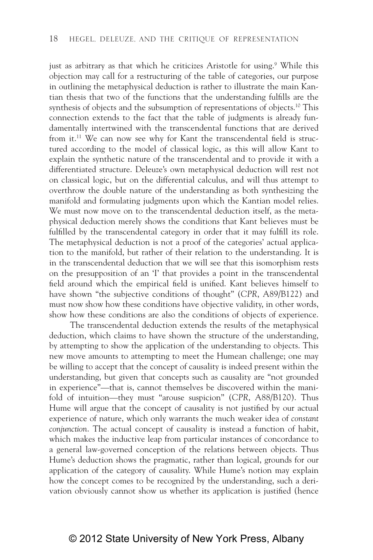just as arbitrary as that which he criticizes Aristotle for using.<sup>9</sup> While this objection may call for a restructuring of the table of categories, our purpose in outlining the metaphysical deduction is rather to illustrate the main Kantian thesis that two of the functions that the understanding fulfills are the synthesis of objects and the subsumption of representations of objects.<sup>10</sup> This connection extends to the fact that the table of judgments is already fundamentally intertwined with the transcendental functions that are derived from it.<sup>11</sup> We can now see why for Kant the transcendental field is structured according to the model of classical logic, as this will allow Kant to explain the synthetic nature of the transcendental and to provide it with a differentiated structure. Deleuze's own metaphysical deduction will rest not on classical logic, but on the differential calculus, and will thus attempt to overthrow the double nature of the understanding as both synthesizing the manifold and formulating judgments upon which the Kantian model relies. We must now move on to the transcendental deduction itself, as the metaphysical deduction merely shows the conditions that Kant believes must be fulfilled by the transcendental category in order that it may fulfill its role. The metaphysical deduction is not a proof of the categories' actual application to the manifold, but rather of their relation to the understanding. It is in the transcendental deduction that we will see that this isomorphism rests on the presupposition of an 'I' that provides a point in the transcendental field around which the empirical field is unified. Kant believes himself to have shown "the subjective conditions of thought" (*CPR*, A89/B122) and must now show how these conditions have objective validity, in other words, show how these conditions are also the conditions of objects of experience.

The transcendental deduction extends the results of the metaphysical deduction, which claims to have shown the structure of the understanding, by attempting to show the application of the understanding to objects. This new move amounts to attempting to meet the Humean challenge; one may be willing to accept that the concept of causality is indeed present within the understanding, but given that concepts such as causality are "not grounded in experience"—that is, cannot themselves be discovered within the manifold of intuition—they must "arouse suspicion" (*CPR*, A88/B120). Thus Hume will argue that the concept of causality is not justified by our actual experience of nature, which only warrants the much weaker idea of *constant conjunction*. The actual concept of causality is instead a function of habit, which makes the inductive leap from particular instances of concordance to a general law-governed conception of the relations between objects. Thus Hume's deduction shows the pragmatic, rather than logical, grounds for our application of the category of causality. While Hume's notion may explain how the concept comes to be recognized by the understanding, such a derivation obviously cannot show us whether its application is justified (hence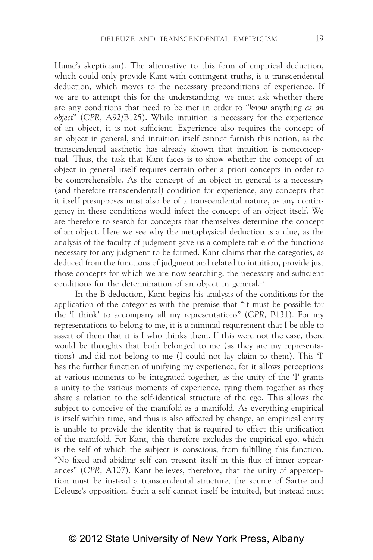Hume's skepticism). The alternative to this form of empirical deduction, which could only provide Kant with contingent truths, is a transcendental deduction, which moves to the necessary preconditions of experience. If we are to attempt this for the understanding, we must ask whether there are any conditions that need to be met in order to "*know* anything *as an object*" (*CPR*, A92/B125). While intuition is necessary for the experience of an object, it is not sufficient. Experience also requires the concept of an object in general, and intuition itself cannot furnish this notion, as the transcendental aesthetic has already shown that intuition is nonconceptual. Thus, the task that Kant faces is to show whether the concept of an object in general itself requires certain other a priori concepts in order to be comprehensible. As the concept of an object in general is a necessary (and therefore transcendental) condition for experience, any concepts that it itself presupposes must also be of a transcendental nature, as any contingency in these conditions would infect the concept of an object itself. We are therefore to search for concepts that themselves determine the concept of an object. Here we see why the metaphysical deduction is a clue, as the analysis of the faculty of judgment gave us a complete table of the functions necessary for any judgment to be formed. Kant claims that the categories, as deduced from the functions of judgment and related to intuition, provide just those concepts for which we are now searching: the necessary and sufficient conditions for the determination of an object in general.<sup>12</sup>

In the B deduction, Kant begins his analysis of the conditions for the application of the categories with the premise that "it must be possible for the 'I think' to accompany all my representations" (*CPR*, B131). For my representations to belong to me, it is a minimal requirement that I be able to assert of them that it is I who thinks them. If this were not the case, there would be thoughts that both belonged to me (as they are my representations) and did not belong to me (I could not lay claim to them). This 'I' has the further function of unifying my experience, for it allows perceptions at various moments to be integrated together, as the unity of the 'I' grants a unity to the various moments of experience, tying them together as they share a relation to the self-identical structure of the ego. This allows the subject to conceive of the manifold as *a* manifold. As everything empirical is itself within time, and thus is also affected by change, an empirical entity is unable to provide the identity that is required to effect this unification of the manifold. For Kant, this therefore excludes the empirical ego, which is the self of which the subject is conscious, from fulfilling this function. "No fixed and abiding self can present itself in this flux of inner appearances" (*CPR*, A107). Kant believes, therefore, that the unity of apperception must be instead a transcendental structure, the source of Sartre and Deleuze's opposition. Such a self cannot itself be intuited, but instead must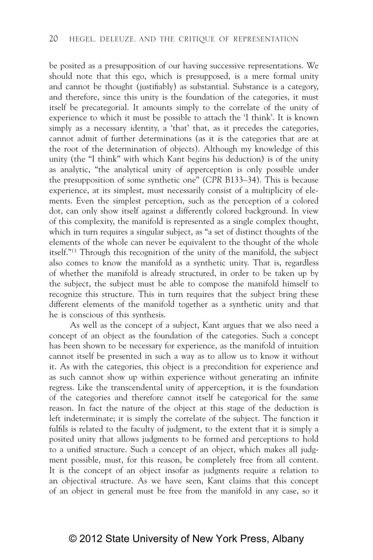be posited as a presupposition of our having successive representations. We should note that this ego, which is presupposed, is a mere formal unity and cannot be thought (justifiably) as substantial. Substance is a category, and therefore, since this unity is the foundation of the categories, it must itself be precategorial. It amounts simply to the correlate of the unity of experience to which it must be possible to attach the 'I think'. It is known simply as a necessary identity, a 'that' that, as it precedes the categories, cannot admit of further determinations (as it is the categories that are at the root of the determination of objects). Although my knowledge of this unity (the "I think" with which Kant begins his deduction) is of the unity as analytic, "the analytical unity of apperception is only possible under the presupposition of some synthetic one" (*CPR* B133–34). This is because experience, at its simplest, must necessarily consist of a multiplicity of elements. Even the simplest perception, such as the perception of a colored dot, can only show itself against a differently colored background. In view of this complexity, the manifold is represented as a single complex thought, which in turn requires a singular subject, as "a set of distinct thoughts of the elements of the whole can never be equivalent to the thought of the whole itself."13 Through this recognition of the unity of the manifold, the subject also comes to know the manifold as a synthetic unity. That is, regardless of whether the manifold is already structured, in order to be taken up by the subject, the subject must be able to compose the manifold himself to recognize this structure. This in turn requires that the subject bring these different elements of the manifold together as a synthetic unity and that he is conscious of this synthesis.

As well as the concept of a subject, Kant argues that we also need a concept of an object as the foundation of the categories. Such a concept has been shown to be necessary for experience, as the manifold of intuition cannot itself be presented in such a way as to allow us to know it without it. As with the categories, this object is a precondition for experience and as such cannot show up within experience without generating an infinite regress. Like the transcendental unity of apperception, it is the foundation of the categories and therefore cannot itself be categorical for the same reason. In fact the nature of the object at this stage of the deduction is left indeterminate; it is simply the correlate of the subject. The function it fulfils is related to the faculty of judgment, to the extent that it is simply a posited unity that allows judgments to be formed and perceptions to hold to a unified structure. Such a concept of an object, which makes all judgment possible, must, for this reason, be completely free from all content. It is the concept of an object insofar as judgments require a relation to an objectival structure. As we have seen, Kant claims that this concept of an object in general must be free from the manifold in any case, so it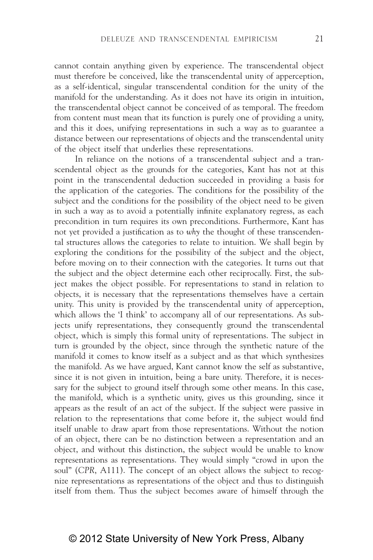cannot contain anything given by experience. The transcendental object must therefore be conceived, like the transcendental unity of apperception, as a self-identical, singular transcendental condition for the unity of the manifold for the understanding. As it does not have its origin in intuition, the transcendental object cannot be conceived of as temporal. The freedom from content must mean that its function is purely one of providing a unity, and this it does, unifying representations in such a way as to guarantee a distance between our representations of objects and the transcendental unity of the object itself that underlies these representations.

In reliance on the notions of a transcendental subject and a transcendental object as the grounds for the categories, Kant has not at this point in the transcendental deduction succeeded in providing a basis for the application of the categories. The conditions for the possibility of the subject and the conditions for the possibility of the object need to be given in such a way as to avoid a potentially infinite explanatory regress, as each precondition in turn requires its own preconditions. Furthermore, Kant has not yet provided a justification as to *why* the thought of these transcendental structures allows the categories to relate to intuition. We shall begin by exploring the conditions for the possibility of the subject and the object, before moving on to their connection with the categories. It turns out that the subject and the object determine each other reciprocally. First, the subject makes the object possible. For representations to stand in relation to objects, it is necessary that the representations themselves have a certain unity. This unity is provided by the transcendental unity of apperception, which allows the 'I think' to accompany all of our representations. As subjects unify representations, they consequently ground the transcendental object, which is simply this formal unity of representations. The subject in turn is grounded by the object, since through the synthetic nature of the manifold it comes to know itself as a subject and as that which synthesizes the manifold. As we have argued, Kant cannot know the self as substantive, since it is not given in intuition, being a bare unity. Therefore, it is necessary for the subject to ground itself through some other means. In this case, the manifold, which is a synthetic unity, gives us this grounding, since it appears as the result of an act of the subject. If the subject were passive in relation to the representations that come before it, the subject would find itself unable to draw apart from those representations. Without the notion of an object, there can be no distinction between a representation and an object, and without this distinction, the subject would be unable to know representations as representations. They would simply "crowd in upon the soul" (*CPR*, A111). The concept of an object allows the subject to recognize representations as representations of the object and thus to distinguish itself from them. Thus the subject becomes aware of himself through the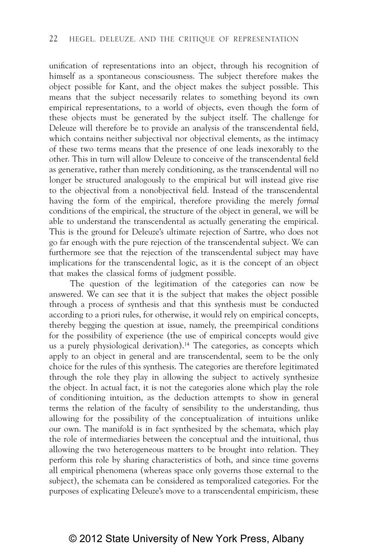unification of representations into an object, through his recognition of himself as a spontaneous consciousness. The subject therefore makes the object possible for Kant, and the object makes the subject possible. This means that the subject necessarily relates to something beyond its own empirical representations, to a world of objects, even though the form of these objects must be generated by the subject itself. The challenge for Deleuze will therefore be to provide an analysis of the transcendental field, which contains neither subjectival nor objectival elements, as the intimacy of these two terms means that the presence of one leads inexorably to the other. This in turn will allow Deleuze to conceive of the transcendental field as generative, rather than merely conditioning, as the transcendental will no longer be structured analogously to the empirical but will instead give rise to the objectival from a nonobjectival field. Instead of the transcendental having the form of the empirical, therefore providing the merely *formal* conditions of the empirical, the structure of the object in general, we will be able to understand the transcendental as actually generating the empirical. This is the ground for Deleuze's ultimate rejection of Sartre, who does not go far enough with the pure rejection of the transcendental subject. We can furthermore see that the rejection of the transcendental subject may have implications for the transcendental logic, as it is the concept of an object that makes the classical forms of judgment possible.

The question of the legitimation of the categories can now be answered. We can see that it is the subject that makes the object possible through a process of synthesis and that this synthesis must be conducted according to a priori rules, for otherwise, it would rely on empirical concepts, thereby begging the question at issue, namely, the preempirical conditions for the possibility of experience (the use of empirical concepts would give us a purely physiological derivation).<sup>14</sup> The categories, as concepts which apply to an object in general and are transcendental, seem to be the only choice for the rules of this synthesis. The categories are therefore legitimated through the role they play in allowing the subject to actively synthesize the object. In actual fact, it is not the categories alone which play the role of conditioning intuition, as the deduction attempts to show in general terms the relation of the faculty of sensibility to the understanding, thus allowing for the possibility of the conceptualization of intuitions unlike our own. The manifold is in fact synthesized by the schemata, which play the role of intermediaries between the conceptual and the intuitional, thus allowing the two heterogeneous matters to be brought into relation. They perform this role by sharing characteristics of both, and since time governs all empirical phenomena (whereas space only governs those external to the subject), the schemata can be considered as temporalized categories. For the purposes of explicating Deleuze's move to a transcendental empiricism, these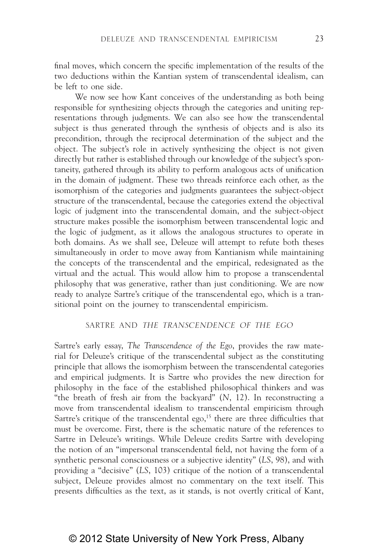final moves, which concern the specific implementation of the results of the two deductions within the Kantian system of transcendental idealism, can be left to one side.

We now see how Kant conceives of the understanding as both being responsible for synthesizing objects through the categories and uniting representations through judgments. We can also see how the transcendental subject is thus generated through the synthesis of objects and is also its precondition, through the reciprocal determination of the subject and the object. The subject's role in actively synthesizing the object is not given directly but rather is established through our knowledge of the subject's spontaneity, gathered through its ability to perform analogous acts of unification in the domain of judgment. These two threads reinforce each other, as the isomorphism of the categories and judgments guarantees the subject-object structure of the transcendental, because the categories extend the objectival logic of judgment into the transcendental domain, and the subject-object structure makes possible the isomorphism between transcendental logic and the logic of judgment, as it allows the analogous structures to operate in both domains. As we shall see, Deleuze will attempt to refute both theses simultaneously in order to move away from Kantianism while maintaining the concepts of the transcendental and the empirical, redesignated as the virtual and the actual. This would allow him to propose a transcendental philosophy that was generative, rather than just conditioning. We are now ready to analyze Sartre's critique of the transcendental ego, which is a transitional point on the journey to transcendental empiricism.

#### SARTRE AND THE TRANSCENDENCE OF THE EGO

Sartre's early essay, *The Transcendence of the Ego*, provides the raw material for Deleuze's critique of the transcendental subject as the constituting principle that allows the isomorphism between the transcendental categories and empirical judgments. It is Sartre who provides the new direction for philosophy in the face of the established philosophical thinkers and was "the breath of fresh air from the backyard" (*N*, 12). In reconstructing a move from transcendental idealism to transcendental empiricism through Sartre's critique of the transcendental ego,<sup>15</sup> there are three difficulties that must be overcome. First, there is the schematic nature of the references to Sartre in Deleuze's writings. While Deleuze credits Sartre with developing the notion of an "impersonal transcendental field, not having the form of a synthetic personal consciousness or a subjective identity" (*LS*, 98), and with providing a "decisive" (*LS*, 103) critique of the notion of a transcendental subject, Deleuze provides almost no commentary on the text itself. This presents difficulties as the text, as it stands, is not overtly critical of Kant,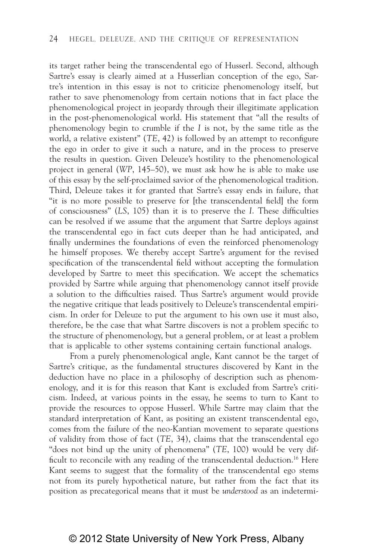its target rather being the transcendental ego of Husserl. Second, although Sartre's essay is clearly aimed at a Husserlian conception of the ego, Sartre's intention in this essay is not to criticize phenomenology itself, but rather to save phenomenology from certain notions that in fact place the phenomenological project in jeopardy through their illegitimate application in the post-phenomenological world. His statement that "all the results of phenomenology begin to crumble if the *I* is not, by the same title as the world, a relative existent" (*TE*, 42) is followed by an attempt to reconfigure the ego in order to give it such a nature, and in the process to preserve the results in question. Given Deleuze's hostility to the phenomenological project in general (*WP*, 145–50), we must ask how he is able to make use of this essay by the self-proclaimed savior of the phenomenological tradition. Third, Deleuze takes it for granted that Sartre's essay ends in failure, that "it is no more possible to preserve for [the transcendental field] the form of consciousness" (*LS*, 105) than it is to preserve the *I*. These difficulties can be resolved if we assume that the argument that Sartre deploys against the transcendental ego in fact cuts deeper than he had anticipated, and finally undermines the foundations of even the reinforced phenomenology he himself proposes. We thereby accept Sartre's argument for the revised specification of the transcendental field without accepting the formulation developed by Sartre to meet this specification. We accept the schematics provided by Sartre while arguing that phenomenology cannot itself provide a solution to the difficulties raised. Thus Sartre's argument would provide the negative critique that leads positively to Deleuze's transcendental empiricism. In order for Deleuze to put the argument to his own use it must also, therefore, be the case that what Sartre discovers is not a problem specific to the structure of phenomenology, but a general problem, or at least a problem that is applicable to other systems containing certain functional analogs.

From a purely phenomenological angle, Kant cannot be the target of Sartre's critique, as the fundamental structures discovered by Kant in the deduction have no place in a philosophy of description such as phenomenology, and it is for this reason that Kant is excluded from Sartre's criticism. Indeed, at various points in the essay, he seems to turn to Kant to provide the resources to oppose Husserl. While Sartre may claim that the standard interpretation of Kant, as positing an existent transcendental ego, comes from the failure of the neo-Kantian movement to separate questions of validity from those of fact (*TE*, 34), claims that the transcendental ego "does not bind up the unity of phenomena" (*TE*, 100) would be very difficult to reconcile with any reading of the transcendental deduction.<sup>16</sup> Here Kant seems to suggest that the formality of the transcendental ego stems not from its purely hypothetical nature, but rather from the fact that its position as precategorical means that it must be *understood* as an indetermi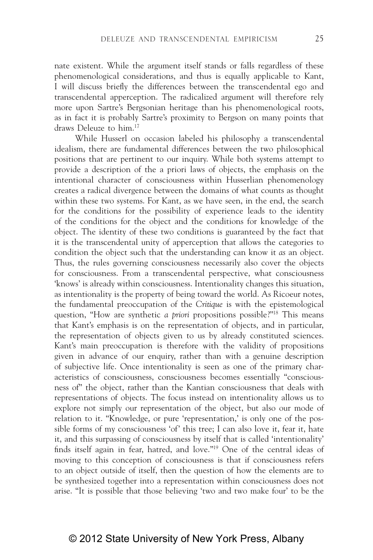nate existent. While the argument itself stands or falls regardless of these phenomenological considerations, and thus is equally applicable to Kant, I will discuss briefly the differences between the transcendental ego and transcendental apperception. The radicalized argument will therefore rely more upon Sartre's Bergsonian heritage than his phenomenological roots, as in fact it is probably Sartre's proximity to Bergson on many points that draws Deleuze to him.17

While Husserl on occasion labeled his philosophy a transcendental idealism, there are fundamental differences between the two philosophical positions that are pertinent to our inquiry. While both systems attempt to provide a description of the a priori laws of objects, the emphasis on the intentional character of consciousness within Husserlian phenomenology creates a radical divergence between the domains of what counts as thought within these two systems. For Kant, as we have seen, in the end, the search for the conditions for the possibility of experience leads to the identity of the conditions for the object and the conditions for knowledge of the object. The identity of these two conditions is guaranteed by the fact that it is the transcendental unity of apperception that allows the categories to condition the object such that the understanding can know it *as* an object. Thus, the rules governing consciousness necessarily also cover the objects for consciousness. From a transcendental perspective, what consciousness 'knows' is already within consciousness. Intentionality changes this situation, as intentionality is the property of being toward the world. As Ricoeur notes, the fundamental preoccupation of the *Critique* is with the epistemological question, "How are synthetic *a priori* propositions possible?"18 This means that Kant's emphasis is on the representation of objects, and in particular, the representation of objects given to us by already constituted sciences. Kant's main preoccupation is therefore with the validity of propositions given in advance of our enquiry, rather than with a genuine description of subjective life. Once intentionality is seen as one of the primary characteristics of consciousness, consciousness becomes essentially "consciousness of" the object, rather than the Kantian consciousness that deals with representations of objects. The focus instead on intentionality allows us to explore not simply our representation of the object, but also our mode of relation to it. "Knowledge, or pure 'representation,' is only one of the possible forms of my consciousness 'of' this tree; I can also love it, fear it, hate it, and this surpassing of consciousness by itself that is called 'intentionality' finds itself again in fear, hatred, and love."19 One of the central ideas of moving to this conception of consciousness is that if consciousness refers to an object outside of itself, then the question of how the elements are to be synthesized together into a representation within consciousness does not arise. "It is possible that those believing 'two and two make four' to be the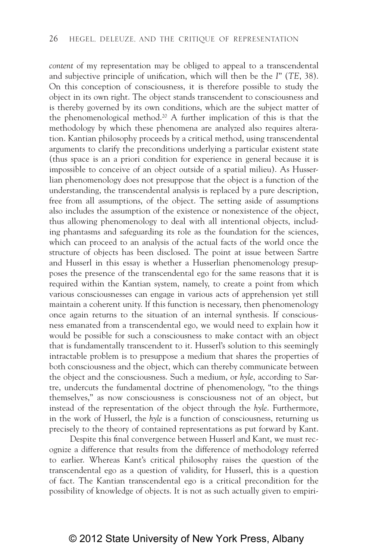*content* of my representation may be obliged to appeal to a transcendental and subjective principle of unification, which will then be the *I*" (*TE*, 38). On this conception of consciousness, it is therefore possible to study the object in its own right. The object stands transcendent to consciousness and is thereby governed by its own conditions, which are the subject matter of the phenomenological method.20 A further implication of this is that the methodology by which these phenomena are analyzed also requires alteration. Kantian philosophy proceeds by a critical method, using transcendental arguments to clarify the preconditions underlying a particular existent state (thus space is an a priori condition for experience in general because it is impossible to conceive of an object outside of a spatial milieu). As Husserlian phenomenology does not presuppose that the object is a function of the understanding, the transcendental analysis is replaced by a pure description, free from all assumptions, of the object. The setting aside of assumptions also includes the assumption of the existence or nonexistence of the object, thus allowing phenomenology to deal with all intentional objects, including phantasms and safeguarding its role as the foundation for the sciences, which can proceed to an analysis of the actual facts of the world once the structure of objects has been disclosed. The point at issue between Sartre and Husserl in this essay is whether a Husserlian phenomenology presupposes the presence of the transcendental ego for the same reasons that it is required within the Kantian system, namely, to create a point from which various consciousnesses can engage in various acts of apprehension yet still maintain a coherent unity. If this function is necessary, then phenomenology once again returns to the situation of an internal synthesis. If consciousness emanated from a transcendental ego, we would need to explain how it would be possible for such a consciousness to make contact with an object that is fundamentally transcendent to it. Husserl's solution to this seemingly intractable problem is to presuppose a medium that shares the properties of both consciousness and the object, which can thereby communicate between the object and the consciousness. Such a medium, or *hyle*, according to Sartre, undercuts the fundamental doctrine of phenomenology, "to the things themselves," as now consciousness is consciousness not of an object, but instead of the representation of the object through the *hyle*. Furthermore, in the work of Husserl, the *hyle* is a function of consciousness, returning us precisely to the theory of contained representations as put forward by Kant.

Despite this final convergence between Husserl and Kant, we must recognize a difference that results from the difference of methodology referred to earlier. Whereas Kant's critical philosophy raises the question of the transcendental ego as a question of validity, for Husserl, this is a question of fact. The Kantian transcendental ego is a critical precondition for the possibility of knowledge of objects. It is not as such actually given to empiri-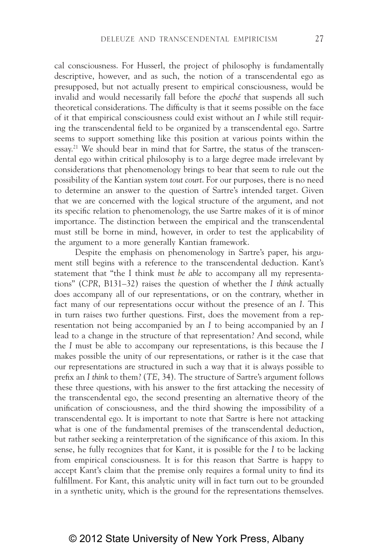cal consciousness. For Husserl, the project of philosophy is fundamentally descriptive, however, and as such, the notion of a transcendental ego as presupposed, but not actually present to empirical consciousness, would be invalid and would necessarily fall before the *epoché* that suspends all such theoretical considerations. The difficulty is that it seems possible on the face of it that empirical consciousness could exist without an *I* while still requiring the transcendental field to be organized by a transcendental ego. Sartre seems to support something like this position at various points within the essay.21 We should bear in mind that for Sartre, the status of the transcendental ego within critical philosophy is to a large degree made irrelevant by considerations that phenomenology brings to bear that seem to rule out the possibility of the Kantian system *tout court*. For our purposes, there is no need to determine an answer to the question of Sartre's intended target. Given that we are concerned with the logical structure of the argument, and not its specific relation to phenomenology, the use Sartre makes of it is of minor importance. The distinction between the empirical and the transcendental must still be borne in mind, however, in order to test the applicability of the argument to a more generally Kantian framework.

Despite the emphasis on phenomenology in Sartre's paper, his argument still begins with a reference to the transcendental deduction. Kant's statement that "the I think must *be able* to accompany all my representations" (*CPR*, B131–32) raises the question of whether the *I think* actually does accompany all of our representations, or on the contrary, whether in fact many of our representations occur without the presence of an *I*. This in turn raises two further questions. First, does the movement from a representation not being accompanied by an *I* to being accompanied by an *I* lead to a change in the structure of that representation? And second, while the *I* must be able to accompany our representations, is this because the *I* makes possible the unity of our representations, or rather is it the case that our representations are structured in such a way that it is always possible to prefix an *I think* to them? (*TE*, 34). The structure of Sartre's argument follows these three questions, with his answer to the first attacking the necessity of the transcendental ego, the second presenting an alternative theory of the unification of consciousness, and the third showing the impossibility of a transcendental ego. It is important to note that Sartre is here not attacking what is one of the fundamental premises of the transcendental deduction, but rather seeking a reinterpretation of the significance of this axiom. In this sense, he fully recognizes that for Kant, it is possible for the *I* to be lacking from empirical consciousness. It is for this reason that Sartre is happy to accept Kant's claim that the premise only requires a formal unity to find its fulfillment. For Kant, this analytic unity will in fact turn out to be grounded in a synthetic unity, which is the ground for the representations themselves.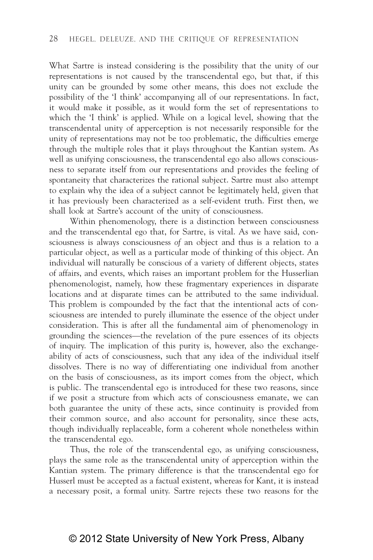What Sartre is instead considering is the possibility that the unity of our representations is not caused by the transcendental ego, but that, if this unity can be grounded by some other means, this does not exclude the possibility of the 'I think' accompanying all of our representations. In fact, it would make it possible, as it would form the set of representations to which the 'I think' is applied. While on a logical level, showing that the transcendental unity of apperception is not necessarily responsible for the unity of representations may not be too problematic, the difficulties emerge through the multiple roles that it plays throughout the Kantian system. As well as unifying consciousness, the transcendental ego also allows consciousness to separate itself from our representations and provides the feeling of spontaneity that characterizes the rational subject. Sartre must also attempt to explain why the idea of a subject cannot be legitimately held, given that it has previously been characterized as a self-evident truth. First then, we shall look at Sartre's account of the unity of consciousness.

Within phenomenology, there is a distinction between consciousness and the transcendental ego that, for Sartre, is vital. As we have said, consciousness is always consciousness *of* an object and thus is a relation to a particular object, as well as a particular mode of thinking of this object. An individual will naturally be conscious of a variety of different objects, states of affairs, and events, which raises an important problem for the Husserlian phenomenologist, namely, how these fragmentary experiences in disparate locations and at disparate times can be attributed to the same individual. This problem is compounded by the fact that the intentional acts of consciousness are intended to purely illuminate the essence of the object under consideration. This is after all the fundamental aim of phenomenology in grounding the sciences—the revelation of the pure essences of its objects of inquiry. The implication of this purity is, however, also the exchangeability of acts of consciousness, such that any idea of the individual itself dissolves. There is no way of differentiating one individual from another on the basis of consciousness, as its import comes from the object, which is public. The transcendental ego is introduced for these two reasons, since if we posit a structure from which acts of consciousness emanate, we can both guarantee the unity of these acts, since continuity is provided from their common source, and also account for personality, since these acts, though individually replaceable, form a coherent whole nonetheless within the transcendental ego.

Thus, the role of the transcendental ego, as unifying consciousness, plays the same role as the transcendental unity of apperception within the Kantian system. The primary difference is that the transcendental ego for Husserl must be accepted as a factual existent, whereas for Kant, it is instead a necessary posit, a formal unity. Sartre rejects these two reasons for the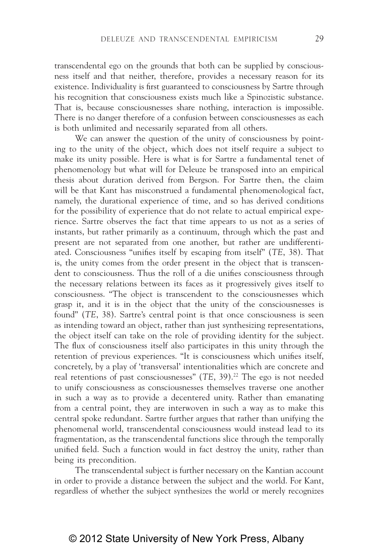transcendental ego on the grounds that both can be supplied by consciousness itself and that neither, therefore, provides a necessary reason for its existence. Individuality is first guaranteed to consciousness by Sartre through his recognition that consciousness exists much like a Spinozistic substance. That is, because consciousnesses share nothing, interaction is impossible. There is no danger therefore of a confusion between consciousnesses as each is both unlimited and necessarily separated from all others.

We can answer the question of the unity of consciousness by pointing to the unity of the object, which does not itself require a subject to make its unity possible. Here is what is for Sartre a fundamental tenet of phenomenology but what will for Deleuze be transposed into an empirical thesis about duration derived from Bergson. For Sartre then, the claim will be that Kant has misconstrued a fundamental phenomenological fact, namely, the durational experience of time, and so has derived conditions for the possibility of experience that do not relate to actual empirical experience. Sartre observes the fact that time appears to us not as a series of instants, but rather primarily as a continuum, through which the past and present are not separated from one another, but rather are undifferentiated. Consciousness "unifies itself by escaping from itself" (*TE*, 38). That is, the unity comes from the order present in the object that is transcendent to consciousness. Thus the roll of a die unifies consciousness through the necessary relations between its faces as it progressively gives itself to consciousness. "The object is transcendent to the consciousnesses which grasp it, and it is in the object that the unity of the consciousnesses is found" (*TE*, 38). Sartre's central point is that once consciousness is seen as intending toward an object, rather than just synthesizing representations, the object itself can take on the role of providing identity for the subject. The flux of consciousness itself also participates in this unity through the retention of previous experiences. "It is consciousness which unifies itself, concretely, by a play of 'transversal' intentionalities which are concrete and real retentions of past consciousnesses" (TE, 39).<sup>22</sup> The ego is not needed to unify consciousness as consciousnesses themselves traverse one another in such a way as to provide a decentered unity. Rather than emanating from a central point, they are interwoven in such a way as to make this central spoke redundant. Sartre further argues that rather than unifying the phenomenal world, transcendental consciousness would instead lead to its fragmentation, as the transcendental functions slice through the temporally unified field. Such a function would in fact destroy the unity, rather than being its precondition.

The transcendental subject is further necessary on the Kantian account in order to provide a distance between the subject and the world. For Kant, regardless of whether the subject synthesizes the world or merely recognizes